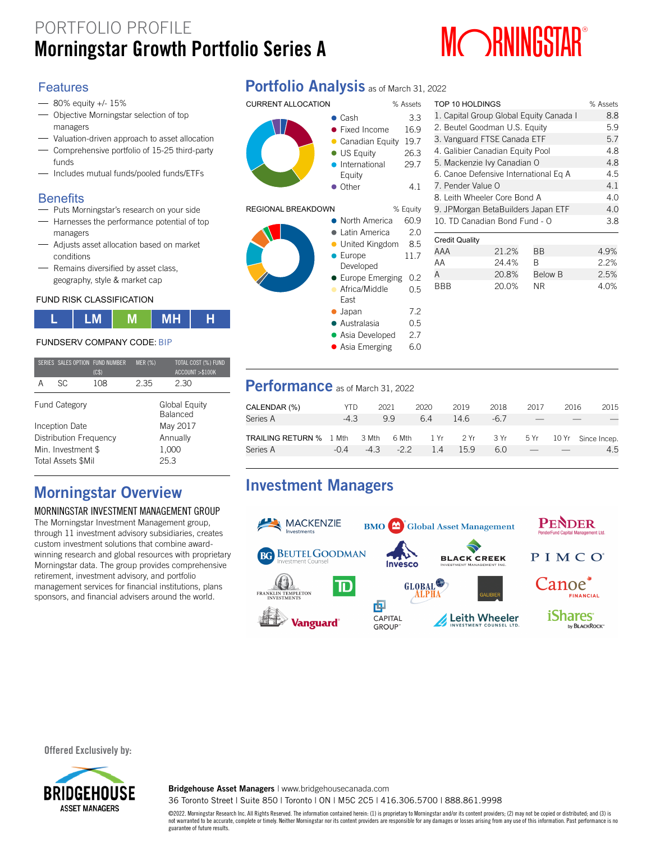# PORTFOLIO PROFILE **MORNINGS AND THE PROPERTY OF REAL PROPERTY OF REAL PROPERTY ASSESSMENT AND MUSTAR**



TOP 10 HOLDINGS % Assets

### **Features**

- 80% equity +/- 15%
- Objective Morningstar selection of top managers
- Valuation-driven approach to asset allocation
- Comprehensive portfolio of 15-25 third-party funds
- Includes mutual funds/pooled funds/ETFs

### **Benefits**

- Puts Morningstar's research on your side
- $-$  Harnesses the performance potential of top managers
- Adjusts asset allocation based on market conditions
- Remains diversified by asset class, geography, style & market cap

### FUND RISK CLASSIFICATION



### FUNDSERV COMPANY CODE: BIP

|   |                           | SERIES SALES OPTION FUND NUMBER<br>(C\$) | <b>MER (%)</b> | TOTAL COST (%) FUND<br>ACCOUNT >\$100K |  |  |
|---|---------------------------|------------------------------------------|----------------|----------------------------------------|--|--|
| А | SC.                       | 108                                      | 2.35           | 2.30                                   |  |  |
|   | <b>Fund Category</b>      |                                          |                | Global Equity<br><b>Balanced</b>       |  |  |
|   | Inception Date            |                                          | May 2017       |                                        |  |  |
|   | Distribution Frequency    |                                          | Annually       |                                        |  |  |
|   | Min. Investment \$        |                                          | 1,000          |                                        |  |  |
|   | <b>Total Assets \$Mil</b> |                                          | 25.3           |                                        |  |  |
|   |                           |                                          |                |                                        |  |  |

## **Morningstar Overview**

### MORNINGSTAR INVESTMENT MANAGEMENT GROUP

The Morningstar Investment Management group, through 11 investment advisory subsidiaries, creates custom investment solutions that combine awardwinning research and global resources with proprietary Morningstar data. The group provides comprehensive retirement, investment advisory, and portfolio management services for financial institutions, plans sponsors, and financial advisers around the world.

## **Portfolio Analysis** as of March 31, 2022





| $\bullet$ | <b>US Equity</b>       | 26.3     |
|-----------|------------------------|----------|
| $\bullet$ | International          | 29.7     |
|           | Equity                 |          |
| $\bullet$ | Other                  | 4.1      |
|           |                        |          |
| J         |                        | % Equity |
| $\bullet$ | North America          | 60.9     |
| $\bullet$ | Latin America          | 2.0      |
| $\bullet$ | United Kingdom         | 8.5      |
| $\bullet$ | Europe                 | 11.7     |
|           | Developed              |          |
|           | <b>Europe Emerging</b> | 0.2      |
| m.        | Africa/Middle          | 0.5      |
|           | East                   |          |
|           | $\bullet$ Japan        | 7.2      |
|           | · Australasia          | 0.5      |
|           | • Asia Developed       | 2.7      |
|           | • Asia Emerging        | 6.0      |

| 1. Capital Group Global Equity Canada I | 8.8   |                |      |
|-----------------------------------------|-------|----------------|------|
| 2. Beutel Goodman U.S. Equity           | 5.9   |                |      |
| 3. Vanguard FTSE Canada ETF             | 5.7   |                |      |
| 4. Galibier Canadian Equity Pool        | 4.8   |                |      |
| 5. Mackenzie Ivy Canadian O             | 4.8   |                |      |
| 6. Canoe Defensive International Eq A   | 4.5   |                |      |
| 7. Pender Value O                       | 4.1   |                |      |
| 8. Leith Wheeler Core Bond A            | 4.0   |                |      |
| 9. JPMorgan BetaBuilders Japan ETF      | 4.0   |                |      |
| 10. TD Canadian Bond Fund - O           | 3.8   |                |      |
|                                         |       |                |      |
| <b>Credit Quality</b>                   |       |                |      |
| AAA                                     | 21.2% | <b>BB</b>      | 4.9% |
| AA                                      | 24.4% | B              | 2.2% |
| А                                       | 20.8% | <b>Below B</b> | 2.5% |
| BBB                                     | 20.0% | <b>NR</b>      | 4.0% |
|                                         |       |                |      |
|                                         |       |                |      |

### **Performance** as of March 31, 2022

| CALENDAR (%)                   | YTD.   | 2021   |       | 2020 | 2019 | 2018                 | 2017 | 2016 | 2015                    |
|--------------------------------|--------|--------|-------|------|------|----------------------|------|------|-------------------------|
| Series A                       | $-4.3$ |        | 99    | 64   | 14.6 | $-6.7$               |      |      |                         |
| <b>TRAILING RETURN % 1 Mth</b> |        | 3 Mth  |       |      |      | 6 Mth 1 Yr 2 Yr 3 Yr |      |      | 5 Yr 10 Yr Since Incep. |
| Series A                       | $-0.4$ | $-4.3$ | $-22$ | 1.4  | 15.9 | 6.0                  |      |      | 4.5                     |

## **Investment Managers**



#### **Offered Exclusively by:**



**Bridgehouse Asset Managers** | www.bridgehousecanada.com

36 Toronto Street | Suite 850 | Toronto | ON | M5C 2C5 | 416.306.5700 | 888.861.9998

©2022. Morningstar Research Inc. All Rights Reserved. The information contained herein: (1) is proprietary to Morningstar and/or its content providers; (2) may not be copied or distributed; and (3) is not warranted to be accurate, complete or timely. Neither Morningstar nor its content providers are responsible for any damages or losses arising from any use of this information. Past performance is no guarantee of future results.